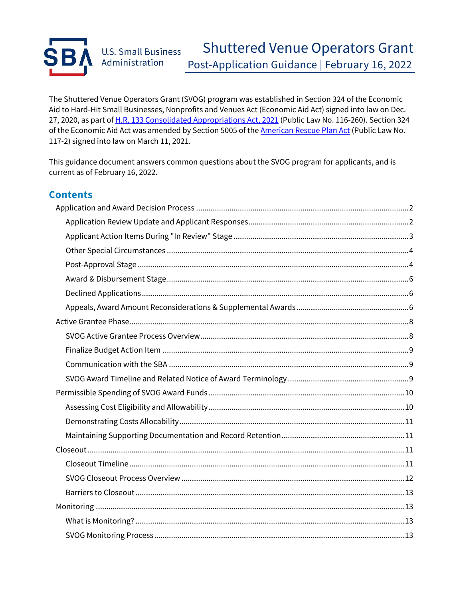

The Shuttered Venue Operators Grant (SVOG) program was established in Section 324 of the Economic Aid to Hard-Hit Small Businesses, Nonprofits and Venues Act (Economic Aid Act) signed into law on Dec. 27, 2020, as part of [H.R. 133 Consolidated Appropriations Act, 2021](https://www.congress.gov/bill/116th-congress/house-bill/133/text) (Public Law No. 116-260). Section 324 of the Economic Aid Act was amended by Section 5005 of the **[American Rescue Plan Act](https://www.congress.gov/bill/117th-congress/house-bill/1319/text/pl?overview=closed)** (Public Law No. 117-2) signed into law on March 11, 2021.

This guidance document answers common questions about the SVOG program for applicants, and is current as of February 16, 2022.

### **Contents**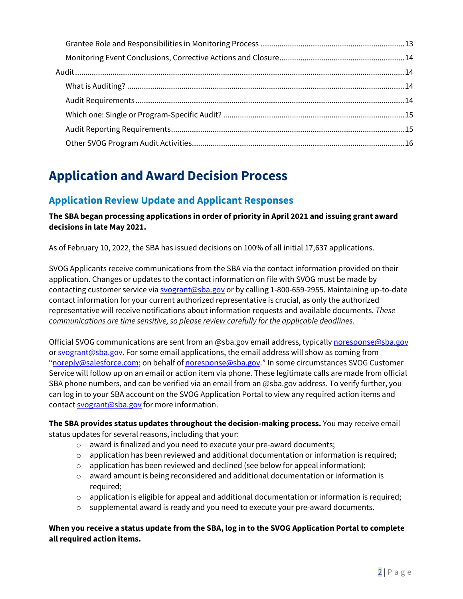# <span id="page-1-0"></span>**Application and Award Decision Process**

## <span id="page-1-1"></span>**Application Review Update and Applicant Responses**

**The SBA began processing applications in order of priority in April 2021 and issuing grant award decisions in late May 2021.** 

As of February 10, 2022, the SBA has issued decisions on 100% of all initial 17,637 applications.

SVOG Applicants receive communications from the SBA via the contact information provided on their application. Changes or updates to the contact information on file with SVOG must be made by contacting customer service via [svogrant@sba.gov](mailto:svogrant@sba.gov) or by calling 1-800-659-2955. Maintaining up-to-date contact information for your current authorized representative is crucial, as only the authorized representative will receive notifications about information requests and available documents. *These communications are time sensitive, so please review carefully for the applicable deadlines.*

Official SVOG communications are sent from an @sba.gov email address, typicall[y noresponse@sba.gov](mailto:noresponse@sba.gov) or [svogrant@sba.gov.](mailto:svogrant@sba.gov) For some email applications, the email address will show as coming from "noreply@salesforce.com; on behalf of [noresponse@sba.gov.](mailto:noresponse@sba.gov)" In some circumstances SVOG Customer Service will follow up on an email or action item via phone. These legitimate calls are made from official SBA phone numbers, and can be verified via an email from an @sba.gov address. To verify further, you can log in to your SBA account on the SVOG Application Portal to view any required action items and contact [svogrant@sba.gov](mailto:svogrant@sba.gov) for more information.

**The SBA provides status updates throughout the decision-making process.** You may receive email status updates for several reasons, including that your:

- o award is finalized and you need to execute your pre-award documents;
- $\circ$  application has been reviewed and additional documentation or information is required;
- o application has been reviewed and declined (see below for appeal information);
- $\circ$  award amount is being reconsidered and additional documentation or information is required;
- $\circ$  application is eligible for appeal and additional documentation or information is required;
- supplemental award is ready and you need to execute your pre-award documents.

**When you receive a status update from the SBA, log in to the SVOG Application Portal to complete all required action items.**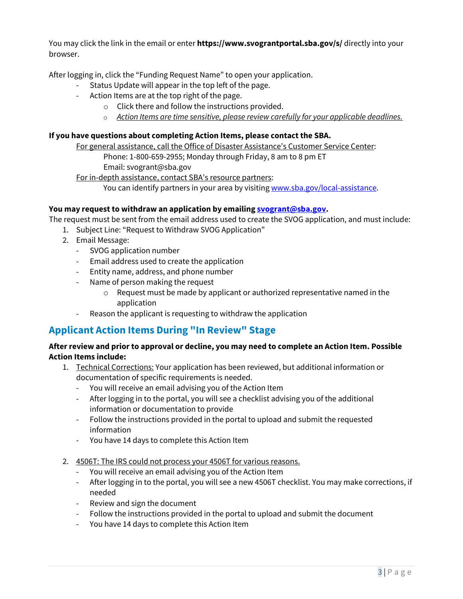You may click the link in the email or enter **https://www.svograntportal.sba.gov/s/** directly into your browser.

After logging in, click the "Funding Request Name" to open your application.

- Status Update will appear in the top left of the page.
- Action Items are at the top right of the page.
	- o Click there and follow the instructions provided.
	- o *Action Items are time sensitive, please review carefully for your applicable deadlines.*

#### **If you have questions about completing Action Items, please contact the SBA.**

For general assistance, call the Office of Disaster Assistance's Customer Service Center:

Phone: 1-800-659-2955; Monday through Friday, 8 am to 8 pm ET Email: [svogrant@sba.gov](mailto:svogrant@sba.gov)

For in-depth assistance, contact SBA's resource partners:

You can identify partners in your area by visiting [www.sba.gov/local-assistance.](http://www.sba.gov/local-assistance)

#### **You may request to withdraw an application by emailing [svogrant@sba.gov.](mailto:svogrant@sba.gov)**

The request must be sent from the email address used to create the SVOG application, and must include:

- 1. Subject Line: "Request to Withdraw SVOG Application"
- 2. Email Message:
	- SVOG application number
	- Email address used to create the application
	- Entity name, address, and phone number
	- Name of person making the request
		- $\circ$  Request must be made by applicant or authorized representative named in the application
	- Reason the applicant is requesting to withdraw the application

## <span id="page-2-0"></span>**Applicant Action Items During "In Review" Stage**

#### **After review and prior to approval or decline, you may need to complete an Action Item. Possible Action Items include:**

- 1. Technical Corrections: Your application has been reviewed, but additional information or documentation of specific requirements is needed.
	- You will receive an email advising you of the Action Item
	- After logging in to the portal, you will see a checklist advising you of the additional information or documentation to provide
	- Follow the instructions provided in the portal to upload and submit the requested information
	- You have 14 days to complete this Action Item
- 2. 4506T: The IRS could not process your 4506T for various reasons.
	- You will receive an email advising you of the Action Item
	- After logging in to the portal, you will see a new 4506T checklist. You may make corrections, if needed
	- Review and sign the document
	- Follow the instructions provided in the portal to upload and submit the document
	- You have 14 days to complete this Action Item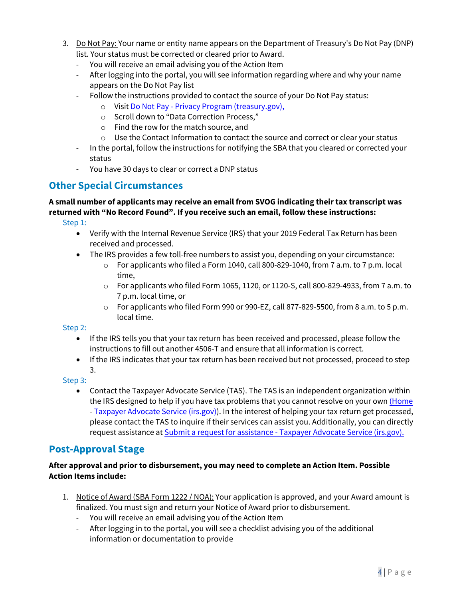- 3. Do Not Pay: Your name or entity name appears on the Department of Treasury's Do Not Pay (DNP) list. Your status must be corrected or cleared prior to Award.
	- You will receive an email advising you of the Action Item
	- After logging into the portal, you will see information regarding where and why your name appears on the Do Not Pay list
	- Follow the instructions provided to contact the source of your Do Not Pay status:
		- o Visit [Do Not Pay Privacy Program \(treasury.gov\),](https://fiscal.treasury.gov/dnp/privacy-program.html#:%7E:text=Data%20Correction%20Process%20%20%20%20Data%20Source,delinquent%20fed%20...%20%207%20more%20rows%20)
		- o Scroll down to "Data Correction Process,"
		- o Find the row for the match source, and
		- o Use the Contact Information to contact the source and correct or clear your status
	- In the portal, follow the instructions for notifying the SBA that you cleared or corrected your status
	- You have 30 days to clear or correct a DNP status

## <span id="page-3-0"></span>**Other Special Circumstances**

#### **A small number of applicants may receive an email from SVOG indicating their tax transcript was returned with "No Record Found". If you receive such an email, follow these instructions:**

Step 1:

- Verify with the Internal Revenue Service (IRS) that your 2019 Federal Tax Return has been received and processed.
- The IRS provides a few toll-free numbers to assist you, depending on your circumstance:
	- $\circ$  For applicants who filed a Form 1040, call 800-829-1040, from 7 a.m. to 7 p.m. local time,
	- $\circ$  For applicants who filed Form 1065, 1120, or 1120-S, call 800-829-4933, from 7 a.m. to 7 p.m. local time, or
	- $\circ$  For applicants who filed Form 990 or 990-EZ, call 877-829-5500, from 8 a.m. to 5 p.m. local time.

Step 2:

- If the IRS tells you that your tax return has been received and processed, please follow the instructions to fill out another 4506-T and ensure that all information is correct.
- If the IRS indicates that your tax return has been received but not processed, proceed to step 3.

Step 3:

• Contact the Taxpayer Advocate Service (TAS). The TAS is an independent organization within the IRS designed to help if you have tax problems that you cannot resolve on your own [\(Home](https://www.taxpayeradvocate.irs.gov/) - [Taxpayer Advocate Service \(irs.gov\)\)](https://www.taxpayeradvocate.irs.gov/). In the interest of helping your tax return get processed, please contact the TAS to inquire if their services can assist you. Additionally, you can directly request assistance at Submit a request for assistance [- Taxpayer Advocate Service \(irs.gov\).](https://www.taxpayeradvocate.irs.gov/contact-us/submit-a-request-for-assistance/)

## <span id="page-3-1"></span>**Post-Approval Stage**

#### **After approval and prior to disbursement, you may need to complete an Action Item. Possible Action Items include:**

- 1. Notice of Award (SBA Form 1222 / NOA): Your application is approved, and your Award amount is finalized. You must sign and return your Notice of Award prior to disbursement.
	- You will receive an email advising you of the Action Item
	- After logging in to the portal, you will see a checklist advising you of the additional information or documentation to provide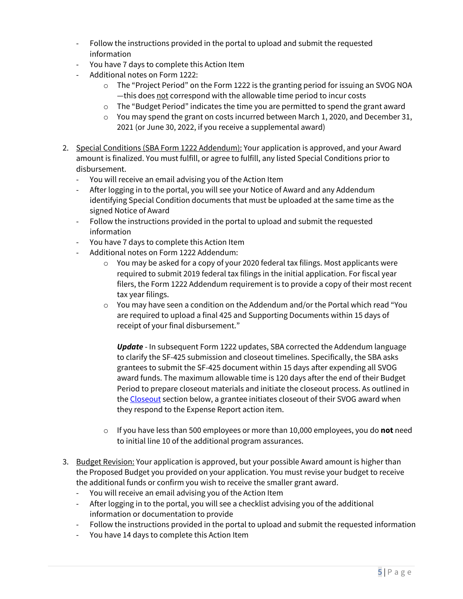- Follow the instructions provided in the portal to upload and submit the requested information
- You have 7 days to complete this Action Item
- Additional notes on Form 1222:
	- $\circ$  The "Project Period" on the Form 1222 is the granting period for issuing an SVOG NOA —this does not correspond with the allowable time period to incur costs
	- $\circ$  The "Budget Period" indicates the time you are permitted to spend the grant award
	- $\circ$  You may spend the grant on costs incurred between March 1, 2020, and December 31, 2021 (or June 30, 2022, if you receive a supplemental award)
- 2. Special Conditions (SBA Form 1222 Addendum): Your application is approved, and your Award amount is finalized. You must fulfill, or agree to fulfill, any listed Special Conditions prior to disbursement.
	- You will receive an email advising you of the Action Item
	- After logging in to the portal, you will see your Notice of Award and any Addendum identifying Special Condition documents that must be uploaded at the same time as the signed Notice of Award
	- Follow the instructions provided in the portal to upload and submit the requested information
	- You have 7 days to complete this Action Item
	- Additional notes on Form 1222 Addendum:
		- $\circ$  You may be asked for a copy of your 2020 federal tax filings. Most applicants were required to submit 2019 federal tax filings in the initial application. For fiscal year filers, the Form 1222 Addendum requirement is to provide a copy of their most recent tax year filings.
		- $\circ$  You may have seen a condition on the Addendum and/or the Portal which read "You are required to upload a final 425 and Supporting Documents within 15 days of receipt of your final disbursement."

*Update* - In subsequent Form 1222 updates, SBA corrected the Addendum language to clarify the SF-425 submission and closeout timelines. Specifically, the SBA asks grantees to submit the SF-425 document within 15 days after expending all SVOG award funds. The maximum allowable time is 120 days after the end of their Budget Period to prepare closeout materials and initiate the closeout process. As outlined in the [Closeout](#page-10-2) section below, a grantee initiates closeout of their SVOG award when they respond to the Expense Report action item.

- o If you have less than 500 employees or more than 10,000 employees, you do **not** need to initial line 10 of the additional program assurances.
- 3. Budget Revision: Your application is approved, but your possible Award amount is higher than the Proposed Budget you provided on your application. You must revise your budget to receive the additional funds or confirm you wish to receive the smaller grant award.
	- You will receive an email advising you of the Action Item
	- After logging in to the portal, you will see a checklist advising you of the additional information or documentation to provide
	- Follow the instructions provided in the portal to upload and submit the requested information
	- You have 14 days to complete this Action Item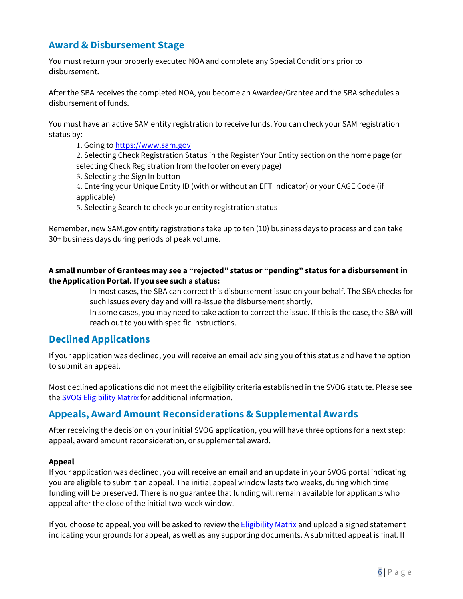## <span id="page-5-0"></span>**Award & Disbursement Stage**

You must return your properly executed NOA and complete any Special Conditions prior to disbursement.

After the SBA receives the completed NOA, you become an Awardee/Grantee and the SBA schedules a disbursement of funds.

You must have an active SAM entity registration to receive funds. You can check your SAM registration status by:

1. Going to <https://www.sam.gov>

2. Selecting Check Registration Status in the Register Your Entity section on the home page (or selecting Check Registration from the footer on every page)

3. Selecting the Sign In button

4. Entering your Unique Entity ID (with or without an EFT Indicator) or your CAGE Code (if applicable)

5. Selecting Search to check your entity registration status

Remember, new SAM.gov entity registrations take up to ten (10) business days to process and can take 30+ business days during periods of peak volume.

#### **A small number of Grantees may see a "rejected" status or "pending" status for a disbursement in the Application Portal. If you see such a status:**

- In most cases, the SBA can correct this disbursement issue on your behalf. The SBA checks for such issues every day and will re-issue the disbursement shortly.
- In some cases, you may need to take action to correct the issue. If this is the case, the SBA will reach out to you with specific instructions.

## <span id="page-5-1"></span>**Declined Applications**

If your application was declined, you will receive an email advising you of this status and have the option to submit an appeal.

Most declined applications did not meet the eligibility criteria established in the SVOG statute. Please see the **SVOG Eligibility Matrix** for additional information.

## <span id="page-5-2"></span>**Appeals, Award Amount Reconsiderations & Supplemental Awards**

After receiving the decision on your initial SVOG application, you will have three options for a next step: appeal, award amount reconsideration, or supplemental award.

#### **Appeal**

If your application was declined, you will receive an email and an update in your SVOG portal indicating you are eligible to submit an appeal. The initial appeal window lasts two weeks, during which time funding will be preserved. There is no guarantee that funding will remain available for applicants who appeal after the close of the initial two-week window.

If you choose to appeal, you will be asked to review the **Eligibility Matrix** and upload a signed statement indicating your grounds for appeal, as well as any supporting documents. A submitted appeal is final. If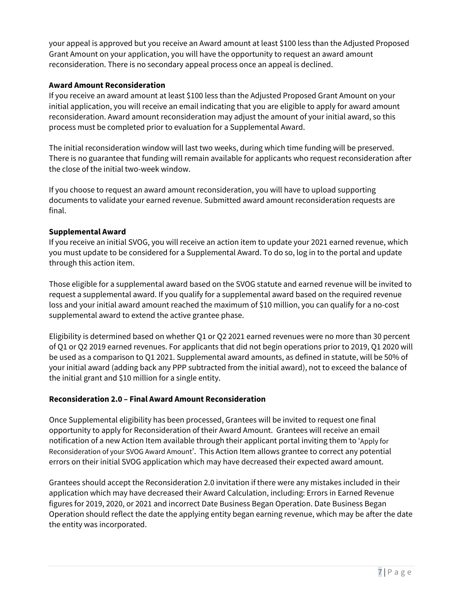your appeal is approved but you receive an Award amount at least \$100 less than the Adjusted Proposed Grant Amount on your application, you will have the opportunity to request an award amount reconsideration. There is no secondary appeal process once an appeal is declined.

#### **Award Amount Reconsideration**

If you receive an award amount at least \$100 less than the Adjusted Proposed Grant Amount on your initial application, you will receive an email indicating that you are eligible to apply for award amount reconsideration. Award amount reconsideration may adjust the amount of your initial award, so this process must be completed prior to evaluation for a Supplemental Award.

The initial reconsideration window will last two weeks, during which time funding will be preserved. There is no guarantee that funding will remain available for applicants who request reconsideration after the close of the initial two-week window.

If you choose to request an award amount reconsideration, you will have to upload supporting documents to validate your earned revenue. Submitted award amount reconsideration requests are final.

#### **Supplemental Award**

If you receive an initial SVOG, you will receive an action item to update your 2021 earned revenue, which you must update to be considered for a Supplemental Award. To do so, log in to the portal and update through this action item.

Those eligible for a supplemental award based on the SVOG statute and earned revenue will be invited to request a supplemental award. If you qualify for a supplemental award based on the required revenue loss and your initial award amount reached the maximum of \$10 million, you can qualify for a no-cost supplemental award to extend the active grantee phase.

Eligibility is determined based on whether Q1 or Q2 2021 earned revenues were no more than 30 percent of Q1 or Q2 2019 earned revenues. For applicants that did not begin operations prior to 2019, Q1 2020 will be used as a comparison to Q1 2021. Supplemental award amounts, as defined in statute, will be 50% of your initial award (adding back any PPP subtracted from the initial award), not to exceed the balance of the initial grant and \$10 million for a single entity.

#### **Reconsideration 2.0 – Final Award Amount Reconsideration**

Once Supplemental eligibility has been processed, Grantees will be invited to request one final opportunity to apply for Reconsideration of their Award Amount. Grantees will receive an email notification of a new Action Item available through their applicant portal inviting them to 'Apply for Reconsideration of your SVOG Award Amount'. This Action Item allows grantee to correct any potential errors on their initial SVOG application which may have decreased their expected award amount.

Grantees should accept the Reconsideration 2.0 invitation if there were any mistakes included in their application which may have decreased their Award Calculation, including: Errors in Earned Revenue figures for 2019, 2020, or 2021 and incorrect Date Business Began Operation. Date Business Began Operation should reflect the date the applying entity began earning revenue, which may be after the date the entity was incorporated.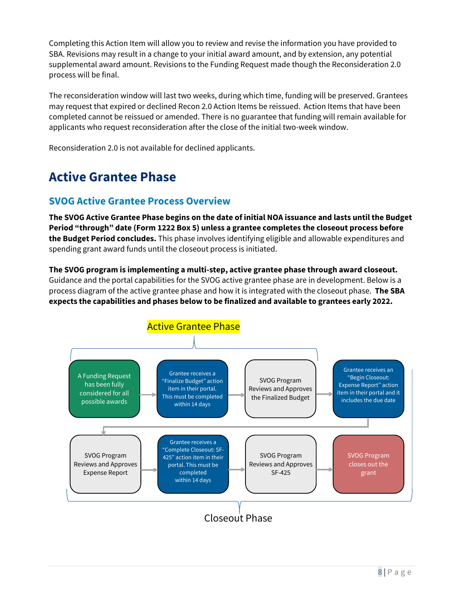Completing this Action Item will allow you to review and revise the information you have provided to SBA. Revisions may result in a change to your initial award amount, and by extension, any potential supplemental award amount. Revisions to the Funding Request made though the Reconsideration 2.0 process will be final.

The reconsideration window will last two weeks, during which time, funding will be preserved. Grantees may request that expired or declined Recon 2.0 Action Items be reissued. Action Items that have been completed cannot be reissued or amended. There is no guarantee that funding will remain available for applicants who request reconsideration after the close of the initial two-week window.

Reconsideration 2.0 is not available for declined applicants.

# <span id="page-7-0"></span>**Active Grantee Phase**

## <span id="page-7-1"></span>**SVOG Active Grantee Process Overview**

**The SVOG Active Grantee Phase begins on the date of initial NOA issuance and lasts until the Budget Period "through" date (Form 1222 Box 5) unless a grantee completes the closeout process before the Budget Period concludes.** This phase involves identifying eligible and allowable expenditures and spending grant award funds until the closeout process is initiated.

**The SVOG program is implementing a multi-step, active grantee phase through award closeout.**  Guidance and the portal capabilities for the SVOG active grantee phase are in development. Below is a process diagram of the active grantee phase and how it is integrated with the closeout phase. **The SBA expects the capabilities and phases below to be finalized and available to grantees early 2022.** 

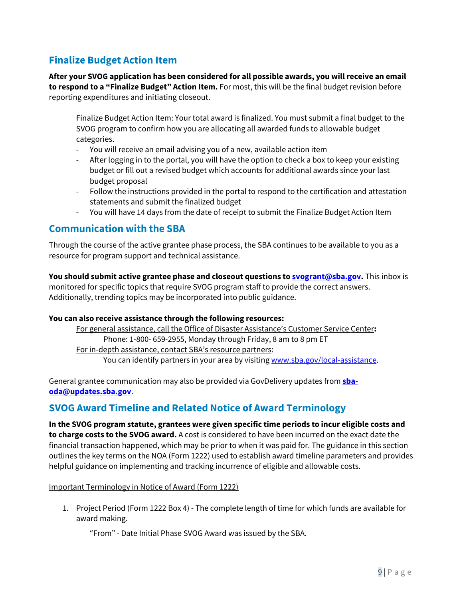## <span id="page-8-0"></span>**Finalize Budget Action Item**

**After your SVOG application has been considered for all possible awards, you will receive an email to respond to a "Finalize Budget" Action Item.** For most, this will be the final budget revision before reporting expenditures and initiating closeout.

Finalize Budget Action Item: Your total award is finalized. You must submit a final budget to the SVOG program to confirm how you are allocating all awarded funds to allowable budget categories.

- You will receive an email advising you of a new, available action item
- After logging in to the portal, you will have the option to check a box to keep your existing budget or fill out a revised budget which accounts for additional awards since your last budget proposal
- Follow the instructions provided in the portal to respond to the certification and attestation statements and submit the finalized budget
- You will have 14 days from the date of receipt to submit the Finalize Budget Action Item

## <span id="page-8-1"></span>**Communication with the SBA**

Through the course of the active grantee phase process, the SBA continues to be available to you as a resource for program support and technical assistance.

**You should submit active grantee phase and closeout questions t[o svogrant@sba.gov.](mailto:svogrant@sba.gov)** This inbox is monitored for specific topics that require SVOG program staff to provide the correct answers. Additionally, trending topics may be incorporated into public guidance.

#### **You can also receive assistance through the following resources:**

For general assistance, call the Office of Disaster Assistance's Customer Service Center**:**  Phone: 1-800- 659-2955, Monday through Friday, 8 am to 8 pm ET For in-depth assistance, contact SBA's resource partners: You can identify partners in your area by visiting [www.sba.gov/local-assistance.](http://www.sba.gov/local-assistance)

General grantee communication may also be provided via GovDelivery updates from **[sba](mailto:sba-oda@updates.sba.gov)[oda@updates.sba.gov](mailto:sba-oda@updates.sba.gov)**.

## <span id="page-8-2"></span>**SVOG Award Timeline and Related Notice of Award Terminology**

**In the SVOG program statute, grantees were given specific time periods to incur eligible costs and to charge costs to the SVOG award.** A cost is considered to have been incurred on the exact date the financial transaction happened, which may be prior to when it was paid for. The guidance in this section outlines the key terms on the NOA (Form 1222) used to establish award timeline parameters and provides helpful guidance on implementing and tracking incurrence of eligible and allowable costs.

#### Important Terminology in Notice of Award (Form 1222)

1. Project Period (Form 1222 Box 4) - The complete length of time for which funds are available for award making.

"From" - Date Initial Phase SVOG Award was issued by the SBA.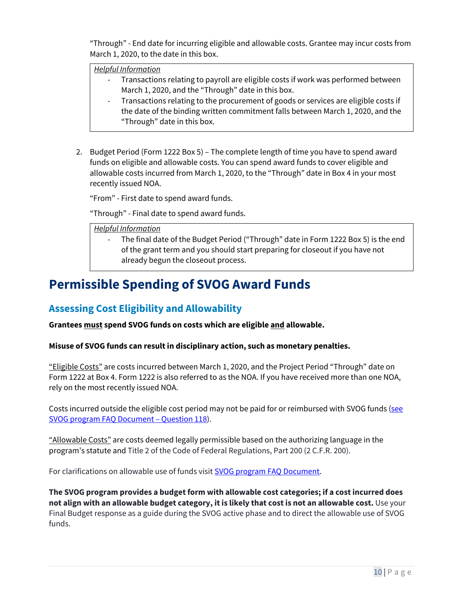"Through" - End date for incurring eligible and allowable costs. Grantee may incur costs from March 1, 2020, to the date in this box.

*Helpful Information*

- Transactions relating to payroll are eligible costs if work was performed between March 1, 2020, and the "Through" date in this box.
- Transactions relating to the procurement of goods or services are eligible costs if the date of the binding written commitment falls between March 1, 2020, and the "Through" date in this box.
- 2. Budget Period (Form 1222 Box 5) The complete length of time you have to spend award funds on eligible and allowable costs. You can spend award funds to cover eligible and allowable costs incurred from March 1, 2020, to the "Through" date in Box 4 in your most recently issued NOA.

"From" - First date to spend award funds.

"Through" - Final date to spend award funds.

*Helpful Information*

The final date of the Budget Period ("Through" date in Form 1222 Box 5) is the end of the grant term and you should start preparing for closeout if you have not already begun the closeout process.

## <span id="page-9-0"></span>**Permissible Spending of SVOG Award Funds**

## <span id="page-9-1"></span>**Assessing Cost Eligibility and Allowability**

**Grantees must spend SVOG funds on costs which are eligible and allowable.** 

**Misuse of SVOG funds can result in disciplinary action, such as monetary penalties.** 

"Eligible Costs" are costs incurred between March 1, 2020, and the Project Period "Through" date on Form 1222 at Box 4. Form 1222 is also referred to as the NOA. If you have received more than one NOA, rely on the most recently issued NOA.

Costs incurred outside the eligible cost period may not be paid for or reimbursed with SVOG funds [\(see](https://www.sba.gov/document/support-faq-regarding-shuttered-venue-operators-grant-svog)  [SVOG program FAQ Document – Question 118\)](https://www.sba.gov/document/support-faq-regarding-shuttered-venue-operators-grant-svog).

"Allowable Costs" are costs deemed legally permissible based on the authorizing language in the program's statute and Title 2 of the Code of Federal Regulations, Part 200 (2 C.F.R. 200).

For clarifications on allowable use of funds visit [SVOG program FAQ Document.](https://www.sba.gov/document/support-faq-regarding-shuttered-venue-operators-grant-svog)

**The SVOG program provides a budget form with allowable cost categories; if a cost incurred does not align with an allowable budget category, it is likely that cost is not an allowable cost.** Use your Final Budget response as a guide during the SVOG active phase and to direct the allowable use of SVOG funds.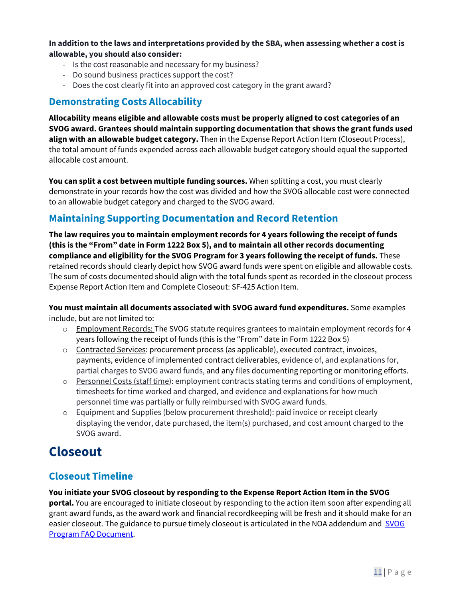**In addition to the laws and interpretations provided by the SBA, when assessing whether a cost is allowable, you should also consider:**

- Is the cost reasonable and necessary for my business?
- Do sound business practices support the cost?
- Does the cost clearly fit into an approved cost category in the grant award?

## <span id="page-10-0"></span>**Demonstrating Costs Allocability**

**Allocability means eligible and allowable costs must be properly aligned to cost categories of an SVOG award. Grantees should maintain supporting documentation that shows the grant funds used align with an allowable budget category.** Then in the Expense Report Action Item (Closeout Process), the total amount of funds expended across each allowable budget category should equal the supported allocable cost amount.

**You can split a cost between multiple funding sources.** When splitting a cost, you must clearly demonstrate in your records how the cost was divided and how the SVOG allocable cost were connected to an allowable budget category and charged to the SVOG award.

## <span id="page-10-1"></span>**Maintaining Supporting Documentation and Record Retention**

**The law requires you to maintain employment records for 4 years following the receipt of funds (this is the "From" date in Form 1222 Box 5), and to maintain all other records documenting compliance and eligibility for the SVOG Program for 3 years following the receipt of funds.** These retained records should clearly depict how SVOG award funds were spent on eligible and allowable costs. The sum of costs documented should align with the total funds spent as recorded in the closeout process Expense Report Action Item and Complete Closeout: SF-425 Action Item.

**You must maintain all documents associated with SVOG award fund expenditures.** Some examples include, but are not limited to:

- $\circ$  Employment Records: The SVOG statute requires grantees to maintain employment records for 4 years following the receipt of funds (this is the "From" date in Form 1222 Box 5)
- o Contracted Services: procurement process (as applicable), executed contract, invoices, payments, evidence of implemented contract deliverables, evidence of, and explanations for, partial charges to SVOG award funds, and any files documenting reporting or monitoring efforts.
- $\circ$  Personnel Costs (staff time): employment contracts stating terms and conditions of employment, timesheets for time worked and charged, and evidence and explanations for how much personnel time was partially or fully reimbursed with SVOG award funds.
- $\circ$  Equipment and Supplies (below procurement threshold): paid invoice or receipt clearly displaying the vendor, date purchased, the item(s) purchased, and cost amount charged to the SVOG award.

# <span id="page-10-2"></span>**Closeout**

## <span id="page-10-3"></span>**Closeout Timeline**

**You initiate your SVOG closeout by responding to the Expense Report Action Item in the SVOG** 

**portal.** You are encouraged to initiate closeout by responding to the action item soon after expending all grant award funds, as the award work and financial recordkeeping will be fresh and it should make for an easier closeout. The guidance to pursue timely closeout is articulated in the NOA addendum and SVOG [Program FAQ Document.](https://www.sba.gov/document/support-faq-regarding-shuttered-venue-operators-grant-svog)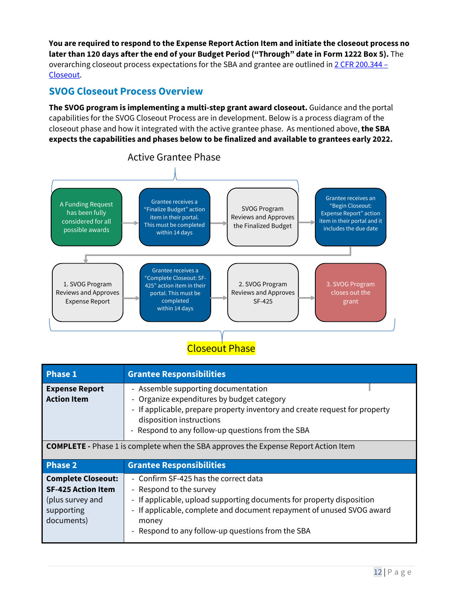**You are required to respond to the Expense Report Action Item and initiate the closeout process no later than 120 days after the end of your Budget Period ("Through" date in Form 1222 Box 5).** The overarching closeout process expectations for the SBA and grantee are outlined in  $2$  CFR 200.344 – [Closeout.](https://www.ecfr.gov/current/title-2/subtitle-A/chapter-II/part-200/subpart-D/subject-group-ECFR682eb6fbfabcde2/section-200.344)

## <span id="page-11-0"></span>**SVOG Closeout Process Overview**

**The SVOG program is implementing a multi-step grant award closeout.** Guidance and the portal capabilities for the SVOG Closeout Process are in development. Below is a process diagram of the closeout phase and how it integrated with the active grantee phase. As mentioned above, **the SBA expects the capabilities and phases below to be finalized and available to grantees early 2022.** 



**Closeout Phase** 

| <b>Phase 1</b>                                                                                         | <b>Grantee Responsibilities</b>                                                                                                                                                                                                                                                  |  |  |  |
|--------------------------------------------------------------------------------------------------------|----------------------------------------------------------------------------------------------------------------------------------------------------------------------------------------------------------------------------------------------------------------------------------|--|--|--|
| <b>Expense Report</b><br><b>Action Item</b>                                                            | - Assemble supporting documentation<br>- Organize expenditures by budget category<br>- If applicable, prepare property inventory and create request for property<br>disposition instructions<br>- Respond to any follow-up questions from the SBA                                |  |  |  |
| <b>COMPLETE</b> - Phase 1 is complete when the SBA approves the Expense Report Action Item             |                                                                                                                                                                                                                                                                                  |  |  |  |
| <b>Phase 2</b>                                                                                         | <b>Grantee Responsibilities</b>                                                                                                                                                                                                                                                  |  |  |  |
| <b>Complete Closeout:</b><br><b>SF-425 Action Item</b><br>(plus survey and<br>supporting<br>documents) | - Confirm SF-425 has the correct data<br>- Respond to the survey<br>- If applicable, upload supporting documents for property disposition<br>- If applicable, complete and document repayment of unused SVOG award<br>money<br>- Respond to any follow-up questions from the SBA |  |  |  |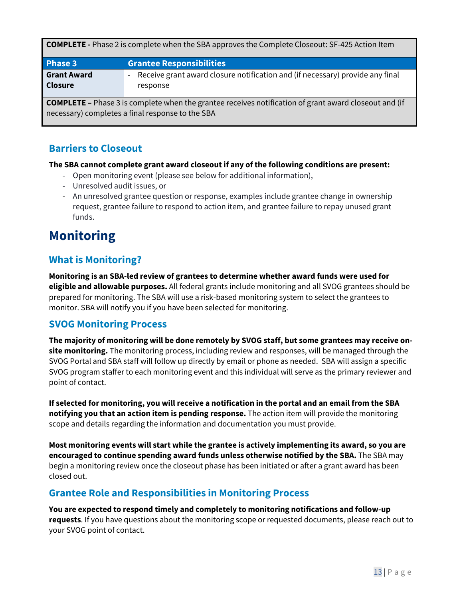| <b>COMPLETE</b> - Phase 2 is complete when the SBA approves the Complete Closeout: SF-425 Action Item |  |  |  |
|-------------------------------------------------------------------------------------------------------|--|--|--|
|-------------------------------------------------------------------------------------------------------|--|--|--|

| <b>Phase 3</b>     | <b>Grantee Responsibilities</b>                                               |
|--------------------|-------------------------------------------------------------------------------|
| <b>Grant Award</b> | Receive grant award closure notification and (if necessary) provide any final |
| Closure            | response                                                                      |

**COMPLETE –** Phase 3 is complete when the grantee receives notification of grant award closeout and (if necessary) completes a final response to the SBA

## <span id="page-12-0"></span>**Barriers to Closeout**

#### **The SBA cannot complete grant award closeout if any of the following conditions are present:**

- Open monitoring event (please see below for additional information),
- Unresolved audit issues, or
- An unresolved grantee question or response, examples include grantee change in ownership request, grantee failure to respond to action item, and grantee failure to repay unused grant funds.

# <span id="page-12-1"></span>**Monitoring**

## <span id="page-12-2"></span>**What is Monitoring?**

**Monitoring is an SBA-led review of grantees to determine whether award funds were used for eligible and allowable purposes.** All federal grants include monitoring and all SVOG grantees should be prepared for monitoring. The SBA will use a risk-based monitoring system to select the grantees to monitor. SBA will notify you if you have been selected for monitoring.

## <span id="page-12-3"></span>**SVOG Monitoring Process**

**The majority of monitoring will be done remotely by SVOG staff, but some grantees may receive onsite monitoring.** The monitoring process, including review and responses, will be managed through the SVOG Portal and SBA staff will follow up directly by email or phone as needed. SBA will assign a specific SVOG program staffer to each monitoring event and this individual will serve as the primary reviewer and point of contact.

**If selected for monitoring, you will receive a notification in the portal and an email from the SBA notifying you that an action item is pending response.** The action item will provide the monitoring scope and details regarding the information and documentation you must provide.

**Most monitoring events will start while the grantee is actively implementing its award, so you are encouraged to continue spending award funds unless otherwise notified by the SBA.** The SBA may begin a monitoring review once the closeout phase has been initiated or after a grant award has been closed out.

## <span id="page-12-4"></span>**Grantee Role and Responsibilities in Monitoring Process**

**You are expected to respond timely and completely to monitoring notifications and follow-up requests**. If you have questions about the monitoring scope or requested documents, please reach out to your SVOG point of contact.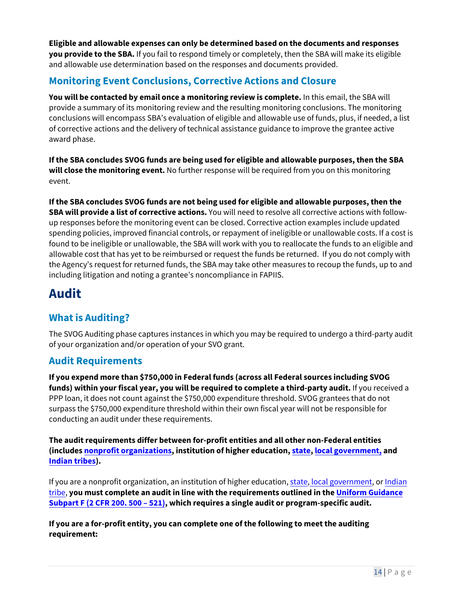**Eligible and allowable expenses can only be determined based on the documents and responses you provide to the SBA.** If you fail to respond timely or completely, then the SBA will make its eligible and allowable use determination based on the responses and documents provided.

## <span id="page-13-0"></span>**Monitoring Event Conclusions, Corrective Actions and Closure**

**You will be contacted by email once a monitoring review is complete.** In this email, the SBA will provide a summary of its monitoring review and the resulting monitoring conclusions. The monitoring conclusions will encompass SBA's evaluation of eligible and allowable use of funds, plus, if needed, a list of corrective actions and the delivery of technical assistance guidance to improve the grantee active award phase.

**If the SBA concludes SVOG funds are being used for eligible and allowable purposes, then the SBA will close the monitoring event.** No further response will be required from you on this monitoring event.

**If the SBA concludes SVOG funds are not being used for eligible and allowable purposes, then the SBA will provide a list of corrective actions.** You will need to resolve all corrective actions with followup responses before the monitoring event can be closed. Corrective action examples include updated spending policies, improved financial controls, or repayment of ineligible or unallowable costs. If a cost is found to be ineligible or unallowable, the SBA will work with you to reallocate the funds to an eligible and allowable cost that has yet to be reimbursed or request the funds be returned. If you do not comply with the Agency's request for returned funds, the SBA may take other measures to recoup the funds, up to and including litigation and noting a grantee's noncompliance in FAPIIS.

# <span id="page-13-1"></span>**Audit**

## <span id="page-13-2"></span>**What is Auditing?**

The SVOG Auditing phase captures instances in which you may be required to undergo a third-party audit of your organization and/or operation of your SVO grant.

## <span id="page-13-3"></span>**Audit Requirements**

**If you expend more than \$750,000 in Federal funds (across all Federal sources including SVOG funds) within your fiscal year, you will be required to complete a third-party audit.** If you received a PPP loan, it does not count against the \$750,000 expenditure threshold. SVOG grantees that do not surpass the \$750,000 expenditure threshold within their own fiscal year will not be responsible for conducting an audit under these requirements.

**The audit requirements differ between for-profit entities and all other non-Federal entities (includes [nonprofit organizations](https://www.law.cornell.edu/definitions/index.php?width=840&height=800&iframe=true&def_id=71161ffd27f28fb88fa72dfe9f1c5e62&term_occur=999&term_src=Title:2:Subtitle:A:Chapter:II:Part:200:Subpart:A:Subjgrp:27:200.69), institution of higher education, [state,](https://www.law.cornell.edu/definitions/index.php?width=840&height=800&iframe=true&def_id=89450cc597955157f0392deeabdb3199&term_occur=999&term_src=Title:2:Subtitle:A:Chapter:II:Part:200:Subpart:A:Subjgrp:27:200.69) [local government,](https://www.law.cornell.edu/definitions/index.php?width=840&height=800&iframe=true&def_id=5314ea343bca6c21e35dd2667cc31c2a&term_occur=999&term_src=Title:2:Subtitle:A:Chapter:II:Part:200:Subpart:A:Subjgrp:27:200.69) and [Indian tribes](https://www.law.cornell.edu/definitions/index.php?width=840&height=800&iframe=true&def_id=f635d62af1e27a993a27e166fb2a04bb&term_occur=999&term_src=Title:2:Subtitle:A:Chapter:II:Part:200:Subpart:A:Subjgrp:27:200.69)).** 

If you are a nonprofit organization, an institution of higher education, [state,](https://www.law.cornell.edu/definitions/index.php?width=840&height=800&iframe=true&def_id=89450cc597955157f0392deeabdb3199&term_occur=999&term_src=Title:2:Subtitle:A:Chapter:II:Part:200:Subpart:A:Subjgrp:27:200.69) [local government,](https://www.law.cornell.edu/definitions/index.php?width=840&height=800&iframe=true&def_id=5314ea343bca6c21e35dd2667cc31c2a&term_occur=999&term_src=Title:2:Subtitle:A:Chapter:II:Part:200:Subpart:A:Subjgrp:27:200.69) or Indian [tribe,](https://www.law.cornell.edu/definitions/index.php?width=840&height=800&iframe=true&def_id=f635d62af1e27a993a27e166fb2a04bb&term_occur=999&term_src=Title:2:Subtitle:A:Chapter:II:Part:200:Subpart:A:Subjgrp:27:200.69) **you must complete an audit in line with the requirements outlined in the [Uniform Guidance](https://www.ecfr.gov/current/title-2/subtitle-A/chapter-II/part-200/subpart-F)  [Subpart F \(2 CFR 200. 500](https://www.ecfr.gov/current/title-2/subtitle-A/chapter-II/part-200/subpart-F) – 521), which requires a single audit or program-specific audit.**

**If you are a for-profit entity, you can complete one of the following to meet the auditing requirement:**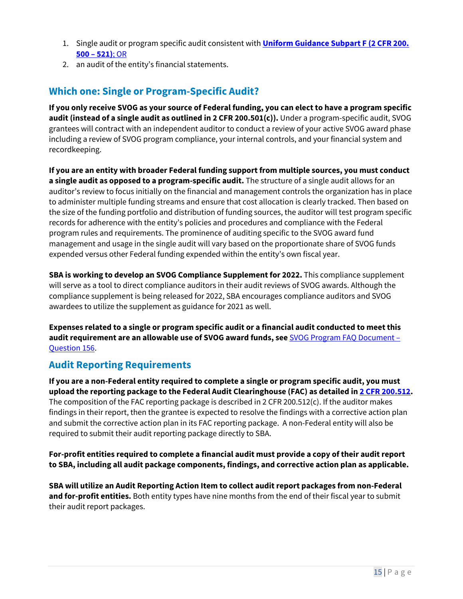- 1. Single audit or program specific audit consistent with **Uniform Guidance [Subpart F \(2 CFR 200.](https://www.ecfr.gov/current/title-2/subtitle-A/chapter-II/part-200/subpart-F)  [500 – 521\)](https://www.ecfr.gov/current/title-2/subtitle-A/chapter-II/part-200/subpart-F)**; OR
- 2. an audit of the entity's financial statements.

## <span id="page-14-0"></span>**Which one: Single or Program-Specific Audit?**

**If you only receive SVOG as your source of Federal funding, you can elect to have a program specific audit (instead of a single audit as outlined in 2 CFR 200.501(c)).** Under a program-specific audit, SVOG grantees will contract with an independent auditor to conduct a review of your active SVOG award phase including a review of SVOG program compliance, your internal controls, and your financial system and recordkeeping.

**If you are an entity with broader Federal funding support from multiple sources, you must conduct a single audit as opposed to a program-specific audit.** The structure of a single audit allows for an auditor's review to focus initially on the financial and management controls the organization has in place to administer multiple funding streams and ensure that cost allocation is clearly tracked. Then based on the size of the funding portfolio and distribution of funding sources, the auditor will test program specific records for adherence with the entity's policies and procedures and compliance with the Federal program rules and requirements. The prominence of auditing specific to the SVOG award fund management and usage in the single audit will vary based on the proportionate share of SVOG funds expended versus other Federal funding expended within the entity's own fiscal year.

**SBA is working to develop an SVOG Compliance Supplement for 2022.** This compliance supplement will serve as a tool to direct compliance auditors in their audit reviews of SVOG awards. Although the compliance supplement is being released for 2022, SBA encourages compliance auditors and SVOG awardees to utilize the supplement as guidance for 2021 as well.

**Expenses related to a single or program specific audit or a financial audit conducted to meet this audit requirement are an allowable use of SVOG award funds, see** [SVOG Program FAQ Document –](https://www.sba.gov/document/support-faq-regarding-shuttered-venue-operators-grant-svog)  [Question 156.](https://www.sba.gov/document/support-faq-regarding-shuttered-venue-operators-grant-svog)

## <span id="page-14-1"></span>**Audit Reporting Requirements**

**If you are a non-Federal entity required to complete a single or program specific audit, you must upload the reporting package to the Federal Audit Clearinghouse (FAC) as detailed in [2 CFR 200.512.](https://www.ecfr.gov/current/title-2/subtitle-A/chapter-II/part-200/subpart-F)**  The composition of the FAC reporting package is described in 2 CFR 200.512(c). If the auditor makes findings in their report, then the grantee is expected to resolve the findings with a corrective action plan and submit the corrective action plan in its FAC reporting package. A non-Federal entity will also be required to submit their audit reporting package directly to SBA.

**For-profit entities required to complete a financial audit must provide a copy of their audit report to SBA, including all audit package components, findings, and corrective action plan as applicable.**

**SBA will utilize an Audit Reporting Action Item to collect audit report packages from non-Federal and for-profit entities.** Both entity types have nine months from the end of their fiscal year to submit their audit report packages.